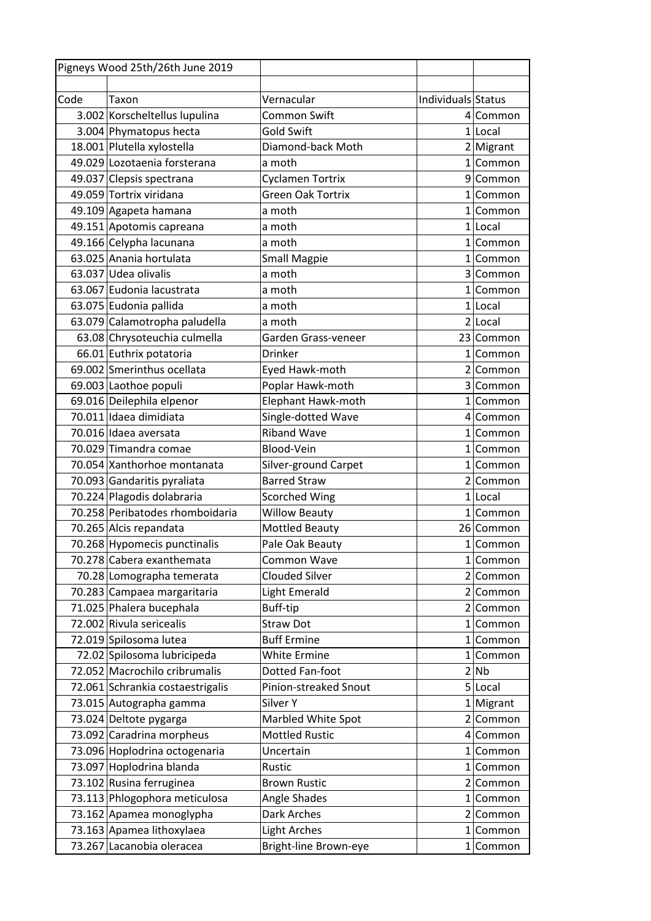| Individuals Status<br>Vernacular<br>Taxon<br>3.002 Korscheltellus lupulina<br><b>Common Swift</b><br>4 Common<br><b>Gold Swift</b><br>3.004 Phymatopus hecta<br>$1$ Local<br>18.001 Plutella xylostella<br>Diamond-back Moth<br>2 Migrant<br>49.029 Lozotaenia forsterana<br>a moth<br>$1$  Common<br>49.037 Clepsis spectrana<br><b>Cyclamen Tortrix</b><br>9 Common<br>49.059 Tortrix viridana<br><b>Green Oak Tortrix</b><br>1 Common<br>49.109 Agapeta hamana<br>a moth<br>1 Common<br>49.151 Apotomis capreana<br>$1$ Local<br>a moth<br>49.166 Celypha lacunana<br>a moth<br>$1$  Common<br>63.025 Anania hortulata<br><b>Small Magpie</b><br>1 Common<br>63.037 Udea olivalis<br>a moth<br>3 Common<br>63.067 Eudonia lacustrata<br>a moth<br>1 Common<br>63.075 Eudonia pallida<br>$1$ Local<br>a moth<br>63.079 Calamotropha paludella<br>2 Local<br>a moth<br>63.08 Chrysoteuchia culmella<br>23 Common<br>Garden Grass-veneer<br>66.01 Euthrix potatoria<br><b>Drinker</b><br>1 Common<br>69.002 Smerinthus ocellata<br>Eyed Hawk-moth<br>2 Common<br>69.003 Laothoe populi<br>Poplar Hawk-moth<br>3 Common<br>69.016 Deilephila elpenor<br>Elephant Hawk-moth<br>1 Common<br>70.011 Idaea dimidiata<br>Single-dotted Wave<br>4 Common<br><b>Riband Wave</b><br>70.016 Idaea aversata<br>1 Common<br>70.029 Timandra comae<br>Blood-Vein<br>1 Common<br>70.054 Xanthorhoe montanata<br>Silver-ground Carpet<br>1 Common<br><b>Barred Straw</b><br>70.093 Gandaritis pyraliata<br>2 Common<br>70.224 Plagodis dolabraria<br><b>Scorched Wing</b><br>1 Local<br>70.258 Peribatodes rhomboidaria<br><b>Willow Beauty</b><br>1 Common<br>70.265 Alcis repandata<br><b>Mottled Beauty</b><br>26 Common<br>70.268 Hypomecis punctinalis<br>Pale Oak Beauty<br>$1$  Common<br>70.278 Cabera exanthemata<br>Common Wave<br>$1$  Common<br>70.28 Lomographa temerata<br><b>Clouded Silver</b><br>2 Common<br>70.283 Campaea margaritaria<br>Light Emerald<br>2 Common<br>71.025 Phalera bucephala<br>Buff-tip<br>2 Common<br>72.002 Rivula sericealis<br><b>Straw Dot</b><br>$1$  Common<br><b>Buff Ermine</b><br>72.019 Spilosoma lutea<br>$1$  Common<br>72.02 Spilosoma lubricipeda<br>White Ermine<br>$1$  Common<br>72.052 Macrochilo cribrumalis<br>Dotted Fan-foot<br>2 Nb<br>72.061 Schrankia costaestrigalis<br>Pinion-streaked Snout<br>5 Local<br>73.015 Autographa gamma<br>Silver Y<br>$1$  Migrant<br>73.024 Deltote pygarga<br>Marbled White Spot<br>2 Common<br>73.092 Caradrina morpheus<br><b>Mottled Rustic</b><br>4 Common<br>73.096 Hoplodrina octogenaria<br>Uncertain<br>$1$  Common<br>73.097 Hoplodrina blanda<br>Rustic<br>$1$  Common<br>73.102 Rusina ferruginea<br><b>Brown Rustic</b><br>2 Common<br>73.113 Phlogophora meticulosa<br>Angle Shades<br>$1$  Common<br>73.162 Apamea monoglypha<br>Dark Arches<br>2 Common<br>73.163 Apamea lithoxylaea<br><b>Light Arches</b><br>$1$  Common<br>73.267 Lacanobia oleracea<br>Bright-line Brown-eye<br>$1$  Common | Pigneys Wood 25th/26th June 2019 |  |  |
|--------------------------------------------------------------------------------------------------------------------------------------------------------------------------------------------------------------------------------------------------------------------------------------------------------------------------------------------------------------------------------------------------------------------------------------------------------------------------------------------------------------------------------------------------------------------------------------------------------------------------------------------------------------------------------------------------------------------------------------------------------------------------------------------------------------------------------------------------------------------------------------------------------------------------------------------------------------------------------------------------------------------------------------------------------------------------------------------------------------------------------------------------------------------------------------------------------------------------------------------------------------------------------------------------------------------------------------------------------------------------------------------------------------------------------------------------------------------------------------------------------------------------------------------------------------------------------------------------------------------------------------------------------------------------------------------------------------------------------------------------------------------------------------------------------------------------------------------------------------------------------------------------------------------------------------------------------------------------------------------------------------------------------------------------------------------------------------------------------------------------------------------------------------------------------------------------------------------------------------------------------------------------------------------------------------------------------------------------------------------------------------------------------------------------------------------------------------------------------------------------------------------------------------------------------------------------------------------------------------------------------------------------------------------------------------------------------------------------------------------------------------------------------------------------------------------------------------------------------------------------------------------------------------------------------------------------------------------------------------------------|----------------------------------|--|--|
|                                                                                                                                                                                                                                                                                                                                                                                                                                                                                                                                                                                                                                                                                                                                                                                                                                                                                                                                                                                                                                                                                                                                                                                                                                                                                                                                                                                                                                                                                                                                                                                                                                                                                                                                                                                                                                                                                                                                                                                                                                                                                                                                                                                                                                                                                                                                                                                                                                                                                                                                                                                                                                                                                                                                                                                                                                                                                                                                                                                                  |                                  |  |  |
|                                                                                                                                                                                                                                                                                                                                                                                                                                                                                                                                                                                                                                                                                                                                                                                                                                                                                                                                                                                                                                                                                                                                                                                                                                                                                                                                                                                                                                                                                                                                                                                                                                                                                                                                                                                                                                                                                                                                                                                                                                                                                                                                                                                                                                                                                                                                                                                                                                                                                                                                                                                                                                                                                                                                                                                                                                                                                                                                                                                                  | Code                             |  |  |
|                                                                                                                                                                                                                                                                                                                                                                                                                                                                                                                                                                                                                                                                                                                                                                                                                                                                                                                                                                                                                                                                                                                                                                                                                                                                                                                                                                                                                                                                                                                                                                                                                                                                                                                                                                                                                                                                                                                                                                                                                                                                                                                                                                                                                                                                                                                                                                                                                                                                                                                                                                                                                                                                                                                                                                                                                                                                                                                                                                                                  |                                  |  |  |
|                                                                                                                                                                                                                                                                                                                                                                                                                                                                                                                                                                                                                                                                                                                                                                                                                                                                                                                                                                                                                                                                                                                                                                                                                                                                                                                                                                                                                                                                                                                                                                                                                                                                                                                                                                                                                                                                                                                                                                                                                                                                                                                                                                                                                                                                                                                                                                                                                                                                                                                                                                                                                                                                                                                                                                                                                                                                                                                                                                                                  |                                  |  |  |
|                                                                                                                                                                                                                                                                                                                                                                                                                                                                                                                                                                                                                                                                                                                                                                                                                                                                                                                                                                                                                                                                                                                                                                                                                                                                                                                                                                                                                                                                                                                                                                                                                                                                                                                                                                                                                                                                                                                                                                                                                                                                                                                                                                                                                                                                                                                                                                                                                                                                                                                                                                                                                                                                                                                                                                                                                                                                                                                                                                                                  |                                  |  |  |
|                                                                                                                                                                                                                                                                                                                                                                                                                                                                                                                                                                                                                                                                                                                                                                                                                                                                                                                                                                                                                                                                                                                                                                                                                                                                                                                                                                                                                                                                                                                                                                                                                                                                                                                                                                                                                                                                                                                                                                                                                                                                                                                                                                                                                                                                                                                                                                                                                                                                                                                                                                                                                                                                                                                                                                                                                                                                                                                                                                                                  |                                  |  |  |
|                                                                                                                                                                                                                                                                                                                                                                                                                                                                                                                                                                                                                                                                                                                                                                                                                                                                                                                                                                                                                                                                                                                                                                                                                                                                                                                                                                                                                                                                                                                                                                                                                                                                                                                                                                                                                                                                                                                                                                                                                                                                                                                                                                                                                                                                                                                                                                                                                                                                                                                                                                                                                                                                                                                                                                                                                                                                                                                                                                                                  |                                  |  |  |
|                                                                                                                                                                                                                                                                                                                                                                                                                                                                                                                                                                                                                                                                                                                                                                                                                                                                                                                                                                                                                                                                                                                                                                                                                                                                                                                                                                                                                                                                                                                                                                                                                                                                                                                                                                                                                                                                                                                                                                                                                                                                                                                                                                                                                                                                                                                                                                                                                                                                                                                                                                                                                                                                                                                                                                                                                                                                                                                                                                                                  |                                  |  |  |
|                                                                                                                                                                                                                                                                                                                                                                                                                                                                                                                                                                                                                                                                                                                                                                                                                                                                                                                                                                                                                                                                                                                                                                                                                                                                                                                                                                                                                                                                                                                                                                                                                                                                                                                                                                                                                                                                                                                                                                                                                                                                                                                                                                                                                                                                                                                                                                                                                                                                                                                                                                                                                                                                                                                                                                                                                                                                                                                                                                                                  |                                  |  |  |
|                                                                                                                                                                                                                                                                                                                                                                                                                                                                                                                                                                                                                                                                                                                                                                                                                                                                                                                                                                                                                                                                                                                                                                                                                                                                                                                                                                                                                                                                                                                                                                                                                                                                                                                                                                                                                                                                                                                                                                                                                                                                                                                                                                                                                                                                                                                                                                                                                                                                                                                                                                                                                                                                                                                                                                                                                                                                                                                                                                                                  |                                  |  |  |
|                                                                                                                                                                                                                                                                                                                                                                                                                                                                                                                                                                                                                                                                                                                                                                                                                                                                                                                                                                                                                                                                                                                                                                                                                                                                                                                                                                                                                                                                                                                                                                                                                                                                                                                                                                                                                                                                                                                                                                                                                                                                                                                                                                                                                                                                                                                                                                                                                                                                                                                                                                                                                                                                                                                                                                                                                                                                                                                                                                                                  |                                  |  |  |
|                                                                                                                                                                                                                                                                                                                                                                                                                                                                                                                                                                                                                                                                                                                                                                                                                                                                                                                                                                                                                                                                                                                                                                                                                                                                                                                                                                                                                                                                                                                                                                                                                                                                                                                                                                                                                                                                                                                                                                                                                                                                                                                                                                                                                                                                                                                                                                                                                                                                                                                                                                                                                                                                                                                                                                                                                                                                                                                                                                                                  |                                  |  |  |
|                                                                                                                                                                                                                                                                                                                                                                                                                                                                                                                                                                                                                                                                                                                                                                                                                                                                                                                                                                                                                                                                                                                                                                                                                                                                                                                                                                                                                                                                                                                                                                                                                                                                                                                                                                                                                                                                                                                                                                                                                                                                                                                                                                                                                                                                                                                                                                                                                                                                                                                                                                                                                                                                                                                                                                                                                                                                                                                                                                                                  |                                  |  |  |
|                                                                                                                                                                                                                                                                                                                                                                                                                                                                                                                                                                                                                                                                                                                                                                                                                                                                                                                                                                                                                                                                                                                                                                                                                                                                                                                                                                                                                                                                                                                                                                                                                                                                                                                                                                                                                                                                                                                                                                                                                                                                                                                                                                                                                                                                                                                                                                                                                                                                                                                                                                                                                                                                                                                                                                                                                                                                                                                                                                                                  |                                  |  |  |
|                                                                                                                                                                                                                                                                                                                                                                                                                                                                                                                                                                                                                                                                                                                                                                                                                                                                                                                                                                                                                                                                                                                                                                                                                                                                                                                                                                                                                                                                                                                                                                                                                                                                                                                                                                                                                                                                                                                                                                                                                                                                                                                                                                                                                                                                                                                                                                                                                                                                                                                                                                                                                                                                                                                                                                                                                                                                                                                                                                                                  |                                  |  |  |
|                                                                                                                                                                                                                                                                                                                                                                                                                                                                                                                                                                                                                                                                                                                                                                                                                                                                                                                                                                                                                                                                                                                                                                                                                                                                                                                                                                                                                                                                                                                                                                                                                                                                                                                                                                                                                                                                                                                                                                                                                                                                                                                                                                                                                                                                                                                                                                                                                                                                                                                                                                                                                                                                                                                                                                                                                                                                                                                                                                                                  |                                  |  |  |
|                                                                                                                                                                                                                                                                                                                                                                                                                                                                                                                                                                                                                                                                                                                                                                                                                                                                                                                                                                                                                                                                                                                                                                                                                                                                                                                                                                                                                                                                                                                                                                                                                                                                                                                                                                                                                                                                                                                                                                                                                                                                                                                                                                                                                                                                                                                                                                                                                                                                                                                                                                                                                                                                                                                                                                                                                                                                                                                                                                                                  |                                  |  |  |
|                                                                                                                                                                                                                                                                                                                                                                                                                                                                                                                                                                                                                                                                                                                                                                                                                                                                                                                                                                                                                                                                                                                                                                                                                                                                                                                                                                                                                                                                                                                                                                                                                                                                                                                                                                                                                                                                                                                                                                                                                                                                                                                                                                                                                                                                                                                                                                                                                                                                                                                                                                                                                                                                                                                                                                                                                                                                                                                                                                                                  |                                  |  |  |
|                                                                                                                                                                                                                                                                                                                                                                                                                                                                                                                                                                                                                                                                                                                                                                                                                                                                                                                                                                                                                                                                                                                                                                                                                                                                                                                                                                                                                                                                                                                                                                                                                                                                                                                                                                                                                                                                                                                                                                                                                                                                                                                                                                                                                                                                                                                                                                                                                                                                                                                                                                                                                                                                                                                                                                                                                                                                                                                                                                                                  |                                  |  |  |
|                                                                                                                                                                                                                                                                                                                                                                                                                                                                                                                                                                                                                                                                                                                                                                                                                                                                                                                                                                                                                                                                                                                                                                                                                                                                                                                                                                                                                                                                                                                                                                                                                                                                                                                                                                                                                                                                                                                                                                                                                                                                                                                                                                                                                                                                                                                                                                                                                                                                                                                                                                                                                                                                                                                                                                                                                                                                                                                                                                                                  |                                  |  |  |
|                                                                                                                                                                                                                                                                                                                                                                                                                                                                                                                                                                                                                                                                                                                                                                                                                                                                                                                                                                                                                                                                                                                                                                                                                                                                                                                                                                                                                                                                                                                                                                                                                                                                                                                                                                                                                                                                                                                                                                                                                                                                                                                                                                                                                                                                                                                                                                                                                                                                                                                                                                                                                                                                                                                                                                                                                                                                                                                                                                                                  |                                  |  |  |
|                                                                                                                                                                                                                                                                                                                                                                                                                                                                                                                                                                                                                                                                                                                                                                                                                                                                                                                                                                                                                                                                                                                                                                                                                                                                                                                                                                                                                                                                                                                                                                                                                                                                                                                                                                                                                                                                                                                                                                                                                                                                                                                                                                                                                                                                                                                                                                                                                                                                                                                                                                                                                                                                                                                                                                                                                                                                                                                                                                                                  |                                  |  |  |
|                                                                                                                                                                                                                                                                                                                                                                                                                                                                                                                                                                                                                                                                                                                                                                                                                                                                                                                                                                                                                                                                                                                                                                                                                                                                                                                                                                                                                                                                                                                                                                                                                                                                                                                                                                                                                                                                                                                                                                                                                                                                                                                                                                                                                                                                                                                                                                                                                                                                                                                                                                                                                                                                                                                                                                                                                                                                                                                                                                                                  |                                  |  |  |
|                                                                                                                                                                                                                                                                                                                                                                                                                                                                                                                                                                                                                                                                                                                                                                                                                                                                                                                                                                                                                                                                                                                                                                                                                                                                                                                                                                                                                                                                                                                                                                                                                                                                                                                                                                                                                                                                                                                                                                                                                                                                                                                                                                                                                                                                                                                                                                                                                                                                                                                                                                                                                                                                                                                                                                                                                                                                                                                                                                                                  |                                  |  |  |
|                                                                                                                                                                                                                                                                                                                                                                                                                                                                                                                                                                                                                                                                                                                                                                                                                                                                                                                                                                                                                                                                                                                                                                                                                                                                                                                                                                                                                                                                                                                                                                                                                                                                                                                                                                                                                                                                                                                                                                                                                                                                                                                                                                                                                                                                                                                                                                                                                                                                                                                                                                                                                                                                                                                                                                                                                                                                                                                                                                                                  |                                  |  |  |
|                                                                                                                                                                                                                                                                                                                                                                                                                                                                                                                                                                                                                                                                                                                                                                                                                                                                                                                                                                                                                                                                                                                                                                                                                                                                                                                                                                                                                                                                                                                                                                                                                                                                                                                                                                                                                                                                                                                                                                                                                                                                                                                                                                                                                                                                                                                                                                                                                                                                                                                                                                                                                                                                                                                                                                                                                                                                                                                                                                                                  |                                  |  |  |
|                                                                                                                                                                                                                                                                                                                                                                                                                                                                                                                                                                                                                                                                                                                                                                                                                                                                                                                                                                                                                                                                                                                                                                                                                                                                                                                                                                                                                                                                                                                                                                                                                                                                                                                                                                                                                                                                                                                                                                                                                                                                                                                                                                                                                                                                                                                                                                                                                                                                                                                                                                                                                                                                                                                                                                                                                                                                                                                                                                                                  |                                  |  |  |
|                                                                                                                                                                                                                                                                                                                                                                                                                                                                                                                                                                                                                                                                                                                                                                                                                                                                                                                                                                                                                                                                                                                                                                                                                                                                                                                                                                                                                                                                                                                                                                                                                                                                                                                                                                                                                                                                                                                                                                                                                                                                                                                                                                                                                                                                                                                                                                                                                                                                                                                                                                                                                                                                                                                                                                                                                                                                                                                                                                                                  |                                  |  |  |
|                                                                                                                                                                                                                                                                                                                                                                                                                                                                                                                                                                                                                                                                                                                                                                                                                                                                                                                                                                                                                                                                                                                                                                                                                                                                                                                                                                                                                                                                                                                                                                                                                                                                                                                                                                                                                                                                                                                                                                                                                                                                                                                                                                                                                                                                                                                                                                                                                                                                                                                                                                                                                                                                                                                                                                                                                                                                                                                                                                                                  |                                  |  |  |
|                                                                                                                                                                                                                                                                                                                                                                                                                                                                                                                                                                                                                                                                                                                                                                                                                                                                                                                                                                                                                                                                                                                                                                                                                                                                                                                                                                                                                                                                                                                                                                                                                                                                                                                                                                                                                                                                                                                                                                                                                                                                                                                                                                                                                                                                                                                                                                                                                                                                                                                                                                                                                                                                                                                                                                                                                                                                                                                                                                                                  |                                  |  |  |
|                                                                                                                                                                                                                                                                                                                                                                                                                                                                                                                                                                                                                                                                                                                                                                                                                                                                                                                                                                                                                                                                                                                                                                                                                                                                                                                                                                                                                                                                                                                                                                                                                                                                                                                                                                                                                                                                                                                                                                                                                                                                                                                                                                                                                                                                                                                                                                                                                                                                                                                                                                                                                                                                                                                                                                                                                                                                                                                                                                                                  |                                  |  |  |
|                                                                                                                                                                                                                                                                                                                                                                                                                                                                                                                                                                                                                                                                                                                                                                                                                                                                                                                                                                                                                                                                                                                                                                                                                                                                                                                                                                                                                                                                                                                                                                                                                                                                                                                                                                                                                                                                                                                                                                                                                                                                                                                                                                                                                                                                                                                                                                                                                                                                                                                                                                                                                                                                                                                                                                                                                                                                                                                                                                                                  |                                  |  |  |
|                                                                                                                                                                                                                                                                                                                                                                                                                                                                                                                                                                                                                                                                                                                                                                                                                                                                                                                                                                                                                                                                                                                                                                                                                                                                                                                                                                                                                                                                                                                                                                                                                                                                                                                                                                                                                                                                                                                                                                                                                                                                                                                                                                                                                                                                                                                                                                                                                                                                                                                                                                                                                                                                                                                                                                                                                                                                                                                                                                                                  |                                  |  |  |
|                                                                                                                                                                                                                                                                                                                                                                                                                                                                                                                                                                                                                                                                                                                                                                                                                                                                                                                                                                                                                                                                                                                                                                                                                                                                                                                                                                                                                                                                                                                                                                                                                                                                                                                                                                                                                                                                                                                                                                                                                                                                                                                                                                                                                                                                                                                                                                                                                                                                                                                                                                                                                                                                                                                                                                                                                                                                                                                                                                                                  |                                  |  |  |
|                                                                                                                                                                                                                                                                                                                                                                                                                                                                                                                                                                                                                                                                                                                                                                                                                                                                                                                                                                                                                                                                                                                                                                                                                                                                                                                                                                                                                                                                                                                                                                                                                                                                                                                                                                                                                                                                                                                                                                                                                                                                                                                                                                                                                                                                                                                                                                                                                                                                                                                                                                                                                                                                                                                                                                                                                                                                                                                                                                                                  |                                  |  |  |
|                                                                                                                                                                                                                                                                                                                                                                                                                                                                                                                                                                                                                                                                                                                                                                                                                                                                                                                                                                                                                                                                                                                                                                                                                                                                                                                                                                                                                                                                                                                                                                                                                                                                                                                                                                                                                                                                                                                                                                                                                                                                                                                                                                                                                                                                                                                                                                                                                                                                                                                                                                                                                                                                                                                                                                                                                                                                                                                                                                                                  |                                  |  |  |
|                                                                                                                                                                                                                                                                                                                                                                                                                                                                                                                                                                                                                                                                                                                                                                                                                                                                                                                                                                                                                                                                                                                                                                                                                                                                                                                                                                                                                                                                                                                                                                                                                                                                                                                                                                                                                                                                                                                                                                                                                                                                                                                                                                                                                                                                                                                                                                                                                                                                                                                                                                                                                                                                                                                                                                                                                                                                                                                                                                                                  |                                  |  |  |
|                                                                                                                                                                                                                                                                                                                                                                                                                                                                                                                                                                                                                                                                                                                                                                                                                                                                                                                                                                                                                                                                                                                                                                                                                                                                                                                                                                                                                                                                                                                                                                                                                                                                                                                                                                                                                                                                                                                                                                                                                                                                                                                                                                                                                                                                                                                                                                                                                                                                                                                                                                                                                                                                                                                                                                                                                                                                                                                                                                                                  |                                  |  |  |
|                                                                                                                                                                                                                                                                                                                                                                                                                                                                                                                                                                                                                                                                                                                                                                                                                                                                                                                                                                                                                                                                                                                                                                                                                                                                                                                                                                                                                                                                                                                                                                                                                                                                                                                                                                                                                                                                                                                                                                                                                                                                                                                                                                                                                                                                                                                                                                                                                                                                                                                                                                                                                                                                                                                                                                                                                                                                                                                                                                                                  |                                  |  |  |
|                                                                                                                                                                                                                                                                                                                                                                                                                                                                                                                                                                                                                                                                                                                                                                                                                                                                                                                                                                                                                                                                                                                                                                                                                                                                                                                                                                                                                                                                                                                                                                                                                                                                                                                                                                                                                                                                                                                                                                                                                                                                                                                                                                                                                                                                                                                                                                                                                                                                                                                                                                                                                                                                                                                                                                                                                                                                                                                                                                                                  |                                  |  |  |
|                                                                                                                                                                                                                                                                                                                                                                                                                                                                                                                                                                                                                                                                                                                                                                                                                                                                                                                                                                                                                                                                                                                                                                                                                                                                                                                                                                                                                                                                                                                                                                                                                                                                                                                                                                                                                                                                                                                                                                                                                                                                                                                                                                                                                                                                                                                                                                                                                                                                                                                                                                                                                                                                                                                                                                                                                                                                                                                                                                                                  |                                  |  |  |
|                                                                                                                                                                                                                                                                                                                                                                                                                                                                                                                                                                                                                                                                                                                                                                                                                                                                                                                                                                                                                                                                                                                                                                                                                                                                                                                                                                                                                                                                                                                                                                                                                                                                                                                                                                                                                                                                                                                                                                                                                                                                                                                                                                                                                                                                                                                                                                                                                                                                                                                                                                                                                                                                                                                                                                                                                                                                                                                                                                                                  |                                  |  |  |
|                                                                                                                                                                                                                                                                                                                                                                                                                                                                                                                                                                                                                                                                                                                                                                                                                                                                                                                                                                                                                                                                                                                                                                                                                                                                                                                                                                                                                                                                                                                                                                                                                                                                                                                                                                                                                                                                                                                                                                                                                                                                                                                                                                                                                                                                                                                                                                                                                                                                                                                                                                                                                                                                                                                                                                                                                                                                                                                                                                                                  |                                  |  |  |
|                                                                                                                                                                                                                                                                                                                                                                                                                                                                                                                                                                                                                                                                                                                                                                                                                                                                                                                                                                                                                                                                                                                                                                                                                                                                                                                                                                                                                                                                                                                                                                                                                                                                                                                                                                                                                                                                                                                                                                                                                                                                                                                                                                                                                                                                                                                                                                                                                                                                                                                                                                                                                                                                                                                                                                                                                                                                                                                                                                                                  |                                  |  |  |
|                                                                                                                                                                                                                                                                                                                                                                                                                                                                                                                                                                                                                                                                                                                                                                                                                                                                                                                                                                                                                                                                                                                                                                                                                                                                                                                                                                                                                                                                                                                                                                                                                                                                                                                                                                                                                                                                                                                                                                                                                                                                                                                                                                                                                                                                                                                                                                                                                                                                                                                                                                                                                                                                                                                                                                                                                                                                                                                                                                                                  |                                  |  |  |
|                                                                                                                                                                                                                                                                                                                                                                                                                                                                                                                                                                                                                                                                                                                                                                                                                                                                                                                                                                                                                                                                                                                                                                                                                                                                                                                                                                                                                                                                                                                                                                                                                                                                                                                                                                                                                                                                                                                                                                                                                                                                                                                                                                                                                                                                                                                                                                                                                                                                                                                                                                                                                                                                                                                                                                                                                                                                                                                                                                                                  |                                  |  |  |
|                                                                                                                                                                                                                                                                                                                                                                                                                                                                                                                                                                                                                                                                                                                                                                                                                                                                                                                                                                                                                                                                                                                                                                                                                                                                                                                                                                                                                                                                                                                                                                                                                                                                                                                                                                                                                                                                                                                                                                                                                                                                                                                                                                                                                                                                                                                                                                                                                                                                                                                                                                                                                                                                                                                                                                                                                                                                                                                                                                                                  |                                  |  |  |
|                                                                                                                                                                                                                                                                                                                                                                                                                                                                                                                                                                                                                                                                                                                                                                                                                                                                                                                                                                                                                                                                                                                                                                                                                                                                                                                                                                                                                                                                                                                                                                                                                                                                                                                                                                                                                                                                                                                                                                                                                                                                                                                                                                                                                                                                                                                                                                                                                                                                                                                                                                                                                                                                                                                                                                                                                                                                                                                                                                                                  |                                  |  |  |
|                                                                                                                                                                                                                                                                                                                                                                                                                                                                                                                                                                                                                                                                                                                                                                                                                                                                                                                                                                                                                                                                                                                                                                                                                                                                                                                                                                                                                                                                                                                                                                                                                                                                                                                                                                                                                                                                                                                                                                                                                                                                                                                                                                                                                                                                                                                                                                                                                                                                                                                                                                                                                                                                                                                                                                                                                                                                                                                                                                                                  |                                  |  |  |